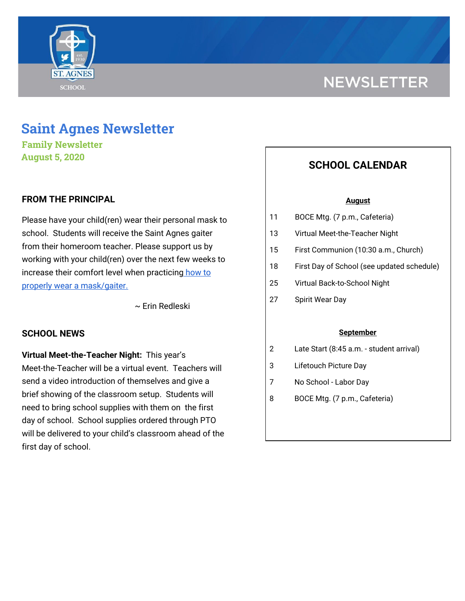

# **NEWSLETTER**

## **Saint Agnes Newsletter**

**Family Newsletter August 5, 2020**

#### **FROM THE PRINCIPAL**

Please have your child(ren) wear their personal mask to school. Students will receive the Saint Agnes gaiter from their homeroom teacher. Please support us by working with your child(ren) over the next few weeks to increase their comfort level when practicing [how](https://school.saintagnes.com/wp-content/uploads/2020/07/wearing-a-cloth-face-covering.pdf) to properly wear a [mask/gaiter.](https://school.saintagnes.com/wp-content/uploads/2020/07/wearing-a-cloth-face-covering.pdf)

~ Erin Redleski

#### **SCHOOL NEWS**

**Virtual Meet-the-Teacher Night:** This year's Meet-the-Teacher will be a virtual event. Teachers will send a video introduction of themselves and give a brief showing of the classroom setup. Students will need to bring school supplies with them on the first day of school. School supplies ordered through PTO will be delivered to your child's classroom ahead of the first day of school.

### **SCHOOL CALENDAR**

#### **August**

- 11 BOCE Mtg. (7 p.m., Cafeteria)
- 13 Virtual Meet-the-Teacher Night
- 15 First Communion (10:30 a.m., Church)
- 18 First Day of School (see updated schedule)
- 25 Virtual Back-to-School Night
- 27 Spirit Wear Day

#### **September**

- 2 Late Start (8:45 a.m. student arrival)
- 3 Lifetouch Picture Day
- 7 No School Labor Day
- 8 BOCE Mtg. (7 p.m., Cafeteria)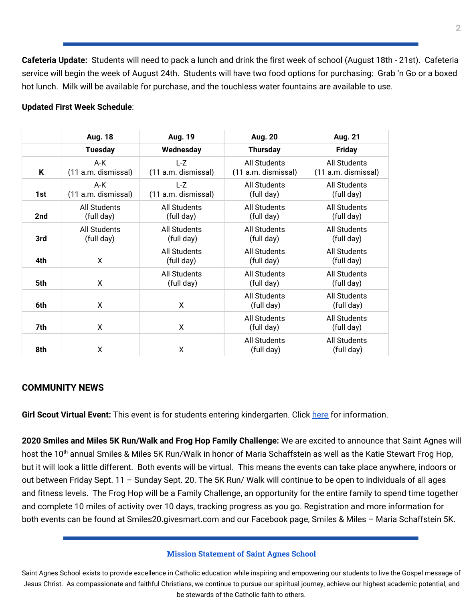**Cafeteria Update:** Students will need to pack a lunch and drink the first week of school (August 18th - 21st). Cafeteria service will begin the week of August 24th. Students will have two food options for purchasing: Grab 'n Go or a boxed hot lunch. Milk will be available for purchase, and the touchless water fountains are available to use.

#### **Updated First Week Schedule**:

|     | <b>Aug. 18</b>                    | <b>Aug. 19</b>               | <b>Aug. 20</b>                             | Aug. 21                                    |
|-----|-----------------------------------|------------------------------|--------------------------------------------|--------------------------------------------|
|     | <b>Tuesday</b>                    | Wednesday                    | <b>Thursday</b>                            | <b>Friday</b>                              |
| K   | A-K<br>(11 a.m. dismissal)        | L-Z<br>(11 a.m. dismissal)   | <b>All Students</b><br>(11 a.m. dismissal) | <b>All Students</b><br>(11 a.m. dismissal) |
| 1st | A-K<br>(11 a.m. dismissal)        | $L-Z$<br>(11 a.m. dismissal) | <b>All Students</b><br>(full day)          | <b>All Students</b><br>(full day)          |
| 2nd | <b>All Students</b><br>(full day) | All Students<br>(full day)   | All Students<br>(full day)                 | <b>All Students</b><br>(full day)          |
| 3rd | All Students<br>(full day)        | All Students<br>(full day)   | <b>All Students</b><br>(full day)          | All Students<br>(full day)                 |
| 4th | X                                 | All Students<br>(full day)   | <b>All Students</b><br>(full day)          | <b>All Students</b><br>(full day)          |
| 5th | X                                 | All Students<br>(full day)   | <b>All Students</b><br>(full day)          | All Students<br>(full day)                 |
| 6th | X                                 | X                            | <b>All Students</b><br>(full day)          | All Students<br>(full day)                 |
| 7th | X                                 | X                            | <b>All Students</b><br>(full day)          | <b>All Students</b><br>(full day)          |
| 8th | X                                 | X                            | All Students<br>(full day)                 | <b>All Students</b><br>(full day)          |

#### **COMMUNITY NEWS**

**Girl Scout Virtual Event:** This event is for students entering kindergarten. Click [here](https://school.saintagnes.com/wp-content/uploads/2020/08/Daisy-Petal-Series-Virtual-Flyer.pdf) for information.

**2020 Smiles and Miles 5K Run/Walk and Frog Hop Family Challenge:** We are excited to announce that Saint Agnes will host the 10<sup>th</sup> annual Smiles & Miles 5K Run/Walk in honor of Maria Schaffstein as well as the Katie Stewart Frog Hop, but it will look a little different. Both events will be virtual. This means the events can take place anywhere, indoors or out between Friday Sept. 11 – Sunday Sept. 20. The 5K Run/ Walk will continue to be open to individuals of all ages and fitness levels. The Frog Hop will be a Family Challenge, an opportunity for the entire family to spend time together and complete 10 miles of activity over 10 days, tracking progress as you go. Registration and more information for both events can be found at Smiles20.givesmart.com and our Facebook page, Smiles & Miles – Maria Schaffstein 5K.

#### **Mission Statement of Saint Agnes School**

Saint Agnes School exists to provide excellence in Catholic education while inspiring and empowering our students to live the Gospel message of Jesus Christ. As compassionate and faithful Christians, we continue to pursue our spiritual journey, achieve our highest academic potential, and be stewards of the Catholic faith to others.